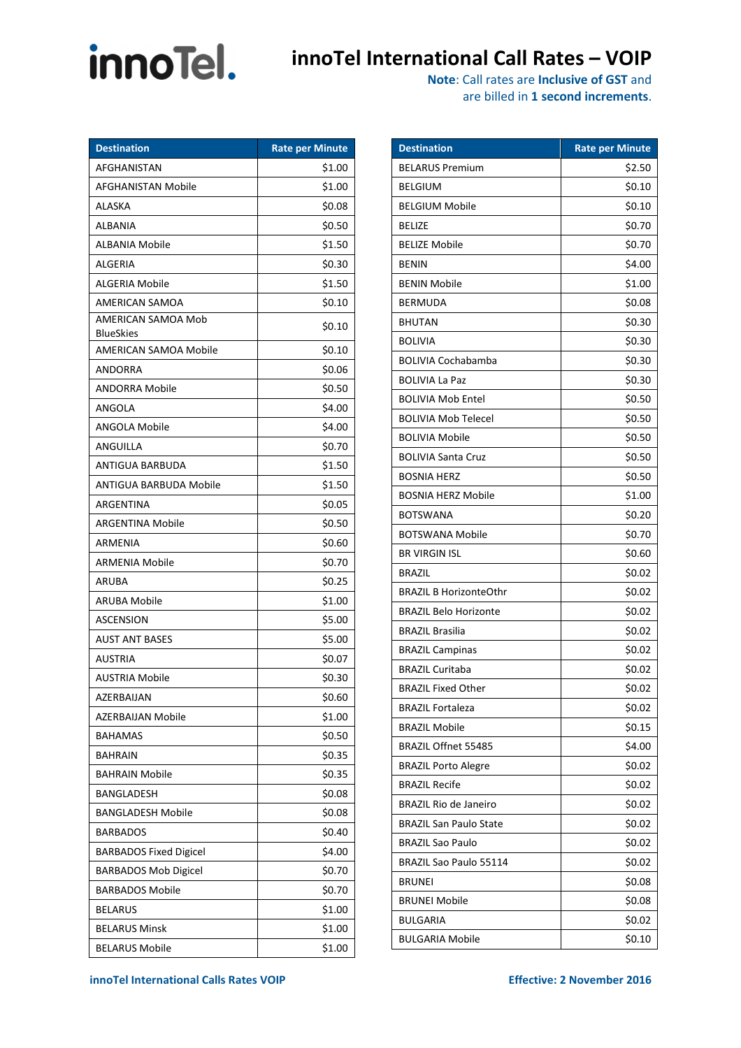## **innoTel** innoTel International Call Rates – VOIP

**Note**: Call rates are **Inclusive of GST** and

| are billed in 1 second increments. |  |  |
|------------------------------------|--|--|
|------------------------------------|--|--|

| <b>Destination</b>                     | <b>Rate per Minute</b> |
|----------------------------------------|------------------------|
| AFGHANISTAN                            | \$1.00                 |
| AFGHANISTAN Mobile                     | \$1.00                 |
| ALASKA                                 | \$0.08                 |
| ALBANIA                                | \$0.50                 |
| ALBANIA Mobile                         | \$1.50                 |
| <b>ALGERIA</b>                         | \$0.30                 |
| <b>ALGERIA Mobile</b>                  | \$1.50                 |
| AMERICAN SAMOA                         | \$0.10                 |
| AMERICAN SAMOA Mob<br><b>BlueSkies</b> | \$0.10                 |
| AMERICAN SAMOA Mobile                  | \$0.10                 |
| <b>ANDORRA</b>                         | \$0.06                 |
| ANDORRA Mobile                         | \$0.50                 |
| ANGOLA                                 | \$4.00                 |
| ANGOLA Mobile                          | \$4.00                 |
| ANGUILLA                               | \$0.70                 |
| ANTIGUA BARBUDA                        | \$1.50                 |
| ANTIGUA BARBUDA Mobile                 | \$1.50                 |
| ARGENTINA                              | \$0.05                 |
| ARGENTINA Mobile                       | \$0.50                 |
| ARMENIA                                | \$0.60                 |
| <b>ARMENIA Mobile</b>                  | \$0.70                 |
| ARUBA                                  | \$0.25                 |
| <b>ARUBA Mobile</b>                    | \$1.00                 |
| <b>ASCENSION</b>                       | \$5.00                 |
| <b>AUST ANT BASES</b>                  | \$5.00                 |
| AUSTRIA                                | \$0.07                 |
| AUSTRIA Mobile                         | \$0.30                 |
| AZERBAIJAN                             | \$0.60                 |
| AZERBAIJAN Mobile                      | \$1.00                 |
| <b>BAHAMAS</b>                         | \$0.50                 |
| BAHRAIN                                | \$0.35                 |
| <b>BAHRAIN Mobile</b>                  | \$0.35                 |
| BANGLADESH                             | \$0.08                 |
| <b>BANGLADESH Mobile</b>               | \$0.08                 |
| <b>BARBADOS</b>                        | \$0.40                 |
| <b>BARBADOS Fixed Digicel</b>          | \$4.00                 |
| <b>BARBADOS Mob Digicel</b>            | \$0.70                 |
| <b>BARBADOS Mobile</b>                 | \$0.70                 |
| <b>BELARUS</b>                         | \$1.00                 |
| <b>BELARUS Minsk</b>                   | \$1.00                 |
| <b>BELARUS Mobile</b>                  | \$1.00                 |

| <b>Destination</b>            | Rate per Minute |
|-------------------------------|-----------------|
| <b>BELARUS Premium</b>        | \$2.50          |
| BELGIUM                       | \$0.10          |
| <b>BELGIUM Mobile</b>         | \$0.10          |
| BELIZE                        | \$0.70          |
| <b>BELIZE Mobile</b>          | \$0.70          |
| <b>BENIN</b>                  | \$4.00          |
| <b>BENIN Mobile</b>           | \$1.00          |
| <b>BERMUDA</b>                | \$0.08          |
| <b>BHUTAN</b>                 | \$0.30          |
| <b>BOLIVIA</b>                | \$0.30          |
| BOLIVIA Cochabamba            | \$0.30          |
| BOLIVIA La Paz                | \$0.30          |
| <b>BOLIVIA Mob Entel</b>      | \$0.50          |
| BOLIVIA Mob Telecel           | \$0.50          |
| <b>BOLIVIA Mobile</b>         | \$0.50          |
| <b>BOLIVIA Santa Cruz</b>     | \$0.50          |
| <b>BOSNIA HERZ</b>            | \$0.50          |
| <b>BOSNIA HERZ Mobile</b>     | \$1.00          |
| BOTSWANA                      | \$0.20          |
| BOTSWANA Mobile               | \$0.70          |
| <b>BR VIRGIN ISL</b>          | \$0.60          |
| <b>BRAZIL</b>                 | \$0.02          |
| <b>BRAZIL B HorizonteOthr</b> | \$0.02          |
| <b>BRAZIL Belo Horizonte</b>  | \$0.02          |
| BRAZIL Brasilia               | \$0.02          |
| <b>BRAZIL Campinas</b>        | \$0.02          |
| <b>BRAZIL Curitaba</b>        | \$0.02          |
| <b>BRAZIL Fixed Other</b>     | \$0.02          |
| <b>BRAZIL Fortaleza</b>       | \$0.02          |
| <b>BRAZIL Mobile</b>          | \$0.15          |
| BRAZIL Offnet 55485           | \$4.00          |
| <b>BRAZIL Porto Alegre</b>    | \$0.02          |
| <b>BRAZIL Recife</b>          | \$0.02          |
| <b>BRAZIL Rio de Janeiro</b>  | \$0.02          |
| <b>BRAZIL San Paulo State</b> | \$0.02          |
| <b>BRAZIL Sao Paulo</b>       | \$0.02          |
| BRAZIL Sao Paulo 55114        | \$0.02          |
| <b>BRUNEI</b>                 | \$0.08          |
| <b>BRUNEI Mobile</b>          | \$0.08          |
| <b>BULGARIA</b>               | \$0.02          |
| BULGARIA Mobile               | \$0.10          |

**innoTel International Calls Rates VOIP Effective: 2 November 2016**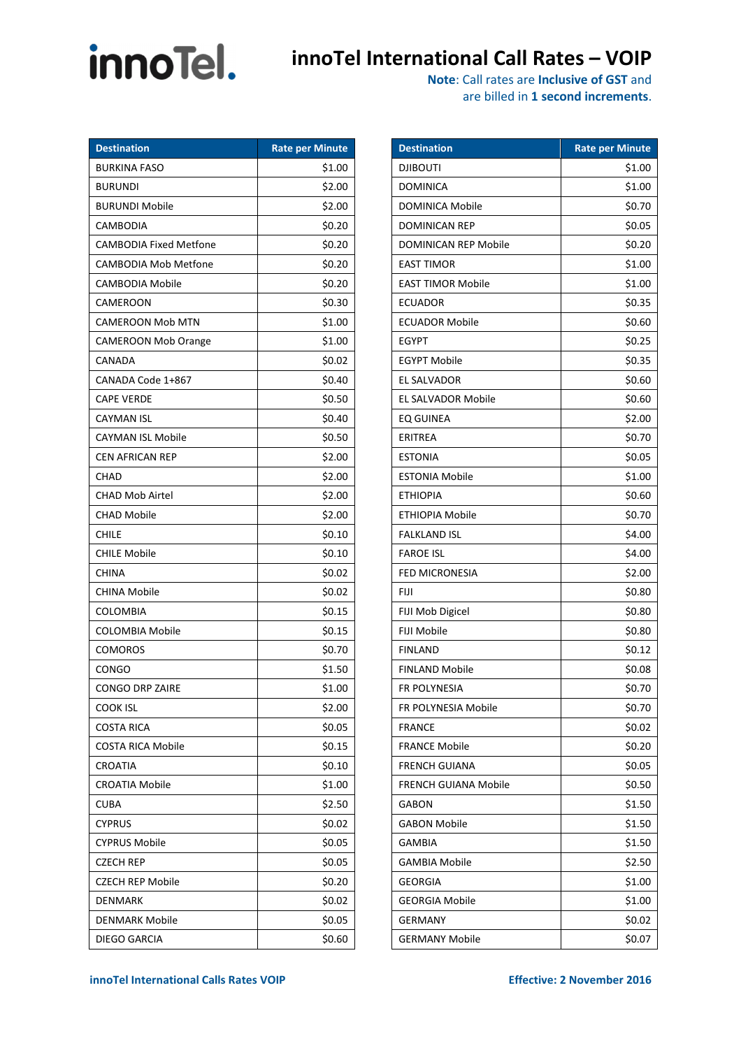## **innoTel** innoTel International Call Rates – VOIP

| are billed in 1 second increments. |  |  |
|------------------------------------|--|--|
|------------------------------------|--|--|

| <b>Destination</b>            | <b>Rate per Minute</b> |
|-------------------------------|------------------------|
| <b>BURKINA FASO</b>           | \$1.00                 |
| <b>BURUNDI</b>                | \$2.00                 |
| <b>BURUNDI Mobile</b>         | \$2.00                 |
| CAMBODIA                      | \$0.20                 |
| <b>CAMBODIA Fixed Metfone</b> | \$0.20                 |
| <b>CAMBODIA Mob Metfone</b>   | \$0.20                 |
| <b>CAMBODIA Mobile</b>        | \$0.20                 |
| CAMEROON                      | \$0.30                 |
| CAMEROON Mob MTN              | \$1.00                 |
| <b>CAMEROON Mob Orange</b>    | \$1.00                 |
| CANADA                        | \$0.02                 |
| CANADA Code 1+867             | \$0.40                 |
| <b>CAPE VERDE</b>             | \$0.50                 |
| CAYMAN ISL                    | \$0.40                 |
| CAYMAN ISL Mobile             | \$0.50                 |
| <b>CEN AFRICAN REP</b>        | \$2.00                 |
| CHAD                          | \$2.00                 |
| <b>CHAD Mob Airtel</b>        | \$2.00                 |
| CHAD Mobile                   | \$2.00                 |
| CHILE                         | \$0.10                 |
| <b>CHILE Mobile</b>           | \$0.10                 |
| CHINA                         | \$0.02                 |
| <b>CHINA Mobile</b>           | \$0.02                 |
| COLOMBIA                      | \$0.15                 |
| <b>COLOMBIA Mobile</b>        | \$0.15                 |
| <b>COMOROS</b>                | \$0.70                 |
| <b>CONGO</b>                  | \$1.50                 |
| CONGO DRP ZAIRE               | \$1.00                 |
| COOK ISL                      | \$2.00                 |
| COSTA RICA                    | \$0.05                 |
| <b>COSTA RICA Mobile</b>      | \$0.15                 |
| CROATIA                       | \$0.10                 |
| <b>CROATIA Mobile</b>         | \$1.00                 |
| CUBA                          | \$2.50                 |
| <b>CYPRUS</b>                 | \$0.02                 |
| <b>CYPRUS Mobile</b>          | \$0.05                 |
| CZECH REP                     | \$0.05                 |
| <b>CZECH REP Mobile</b>       | \$0.20                 |
| DENMARK                       | \$0.02                 |
| DENMARK Mobile                | \$0.05                 |
| DIEGO GARCIA                  | \$0.60                 |

| <b>Destination</b>          | <b>Rate per Minute</b> |
|-----------------------------|------------------------|
| <b>DJIBOUTI</b>             | \$1.00                 |
| <b>DOMINICA</b>             | \$1.00                 |
| DOMINICA Mobile             | \$0.70                 |
| <b>DOMINICAN REP</b>        | \$0.05                 |
| DOMINICAN REP Mobile        | \$0.20                 |
| <b>EAST TIMOR</b>           | \$1.00                 |
| <b>EAST TIMOR Mobile</b>    | \$1.00                 |
| <b>ECUADOR</b>              | \$0.35                 |
| <b>ECUADOR Mobile</b>       | \$0.60                 |
| <b>EGYPT</b>                | \$0.25                 |
| <b>EGYPT Mobile</b>         | \$0.35                 |
| EL SALVADOR                 | \$0.60                 |
| <b>EL SALVADOR Mobile</b>   | \$0.60                 |
| EQ GUINEA                   | \$2.00                 |
| <b>ERITREA</b>              | \$0.70                 |
| <b>ESTONIA</b>              | \$0.05                 |
| <b>ESTONIA Mobile</b>       | \$1.00                 |
| <b>ETHIOPIA</b>             | \$0.60                 |
| ETHIOPIA Mobile             | \$0.70                 |
| <b>FALKLAND ISL</b>         | \$4.00                 |
| <b>FAROE ISL</b>            | \$4.00                 |
| FED MICRONESIA              | \$2.00                 |
| FIJI                        | \$0.80                 |
| FIJI Mob Digicel            | \$0.80                 |
| <b>FIJI Mobile</b>          | \$0.80                 |
| <b>FINLAND</b>              | \$0.12                 |
| <b>FINLAND Mobile</b>       | \$0.08                 |
| <b>FR POLYNESIA</b>         | \$0.70                 |
| FR POLYNESIA Mobile         | \$0.70                 |
| <b>FRANCE</b>               | \$0.02                 |
| <b>FRANCE Mobile</b>        | \$0.20                 |
| <b>FRENCH GUIANA</b>        | \$0.05                 |
| <b>FRENCH GUIANA Mobile</b> | \$0.50                 |
| <b>GABON</b>                | \$1.50                 |
| <b>GABON Mobile</b>         | \$1.50                 |
| <b>GAMBIA</b>               | \$1.50                 |
| <b>GAMBIA Mobile</b>        | \$2.50                 |
| GEORGIA                     | \$1.00                 |
| <b>GEORGIA Mobile</b>       | \$1.00                 |
| <b>GERMANY</b>              | \$0.02                 |
| GERMANY Mobile              | \$0.07                 |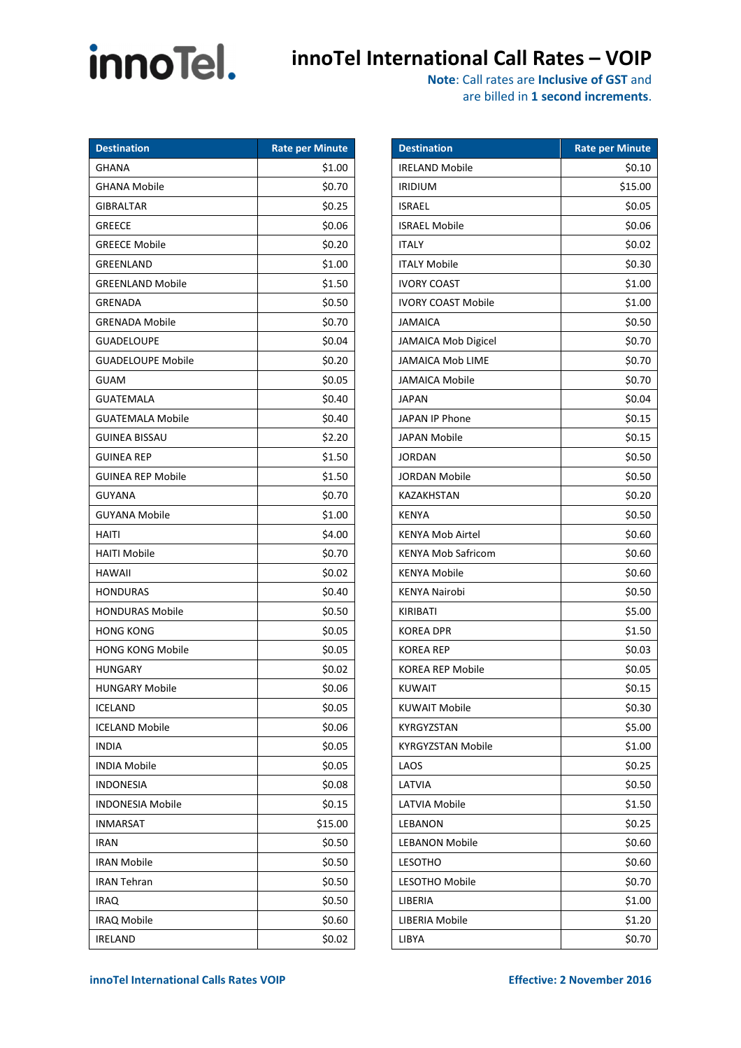## **innoTel** innoTel International Call Rates – VOIP

|  |  | are billed in 1 second increments. |
|--|--|------------------------------------|
|--|--|------------------------------------|

| <b>Destination</b>       | <b>Rate per Minute</b> |
|--------------------------|------------------------|
| GHANA                    | \$1.00                 |
| <b>GHANA Mobile</b>      | \$0.70                 |
| <b>GIBRALTAR</b>         | \$0.25                 |
| <b>GREECE</b>            | \$0.06                 |
| <b>GREECE Mobile</b>     | \$0.20                 |
| GREENLAND                | \$1.00                 |
| <b>GREENLAND Mobile</b>  | \$1.50                 |
| <b>GRENADA</b>           | \$0.50                 |
| <b>GRENADA Mobile</b>    | \$0.70                 |
| <b>GUADELOUPE</b>        | \$0.04                 |
| <b>GUADELOUPE Mobile</b> | \$0.20                 |
| <b>GUAM</b>              | \$0.05                 |
| <b>GUATEMALA</b>         | \$0.40                 |
| GUATEMALA Mobile         | \$0.40                 |
| <b>GUINEA BISSAU</b>     | \$2.20                 |
| <b>GUINEA REP</b>        | \$1.50                 |
| GUINEA REP Mobile        | \$1.50                 |
| GUYANA                   | \$0.70                 |
| <b>GUYANA Mobile</b>     | \$1.00                 |
| <b>HAITI</b>             | \$4.00                 |
| <b>HAITI Mobile</b>      | \$0.70                 |
| HAWAII                   | \$0.02                 |
| <b>HONDURAS</b>          | \$0.40                 |
| HONDURAS Mobile          | \$0.50                 |
| <b>HONG KONG</b>         | \$0.05                 |
| <b>HONG KONG Mobile</b>  | \$0.05                 |
| <b>HUNGARY</b>           | \$0.02                 |
| HUNGARY Mobile           | \$0.06                 |
| ICELAND                  | \$0.05                 |
| <b>ICELAND Mobile</b>    | \$0.06                 |
| INDIA                    | \$0.05                 |
| <b>INDIA Mobile</b>      | \$0.05                 |
| <b>INDONESIA</b>         | \$0.08                 |
| INDONESIA Mobile         | \$0.15                 |
| <b>INMARSAT</b>          | \$15.00                |
| <b>IRAN</b>              | \$0.50                 |
| <b>IRAN Mobile</b>       | \$0.50                 |
| <b>IRAN Tehran</b>       | \$0.50                 |
| <b>IRAQ</b>              | \$0.50                 |
| IRAQ Mobile              | \$0.60                 |
| IRELAND                  | \$0.02                 |

| <b>Destination</b>        | <b>Rate per Minute</b> |
|---------------------------|------------------------|
| <b>IRELAND Mobile</b>     | \$0.10                 |
| <b>IRIDIUM</b>            | \$15.00                |
| <b>ISRAEL</b>             | \$0.05                 |
| <b>ISRAEL Mobile</b>      | \$0.06                 |
| <b>ITALY</b>              | \$0.02                 |
| <b>ITALY Mobile</b>       | \$0.30                 |
| <b>IVORY COAST</b>        | \$1.00                 |
| <b>IVORY COAST Mobile</b> | \$1.00                 |
| JAMAICA                   | \$0.50                 |
| JAMAICA Mob Digicel       | \$0.70                 |
| <b>JAMAICA Mob LIME</b>   | \$0.70                 |
| <b>JAMAICA Mobile</b>     | \$0.70                 |
| <b>JAPAN</b>              | \$0.04                 |
| <b>JAPAN IP Phone</b>     | \$0.15                 |
| JAPAN Mobile              | \$0.15                 |
| JORDAN                    | \$0.50                 |
| <b>JORDAN Mobile</b>      | \$0.50                 |
| <b>KAZAKHSTAN</b>         | \$0.20                 |
| <b>KENYA</b>              | \$0.50                 |
| <b>KENYA Mob Airtel</b>   | \$0.60                 |
| <b>KENYA Mob Safricom</b> | \$0.60                 |
| <b>KENYA Mobile</b>       | \$0.60                 |
| <b>KENYA Nairobi</b>      | \$0.50                 |
| KIRIBATI                  | \$5.00                 |
| <b>KOREA DPR</b>          | \$1.50                 |
| <b>KOREA REP</b>          | \$0.03                 |
| KOREA REP Mobile          | \$0.05                 |
| <b>KUWAIT</b>             | \$0.15                 |
| <b>KUWAIT Mobile</b>      | \$0.30                 |
| KYRGYZSTAN                | \$5.00                 |
| KYRGYZSTAN Mobile         | \$1.00                 |
| LAOS                      | \$0.25                 |
| LATVIA                    | \$0.50                 |
| LATVIA Mobile             | \$1.50                 |
| LEBANON                   | \$0.25                 |
| <b>LEBANON Mobile</b>     | \$0.60                 |
| <b>LESOTHO</b>            | \$0.60                 |
| LESOTHO Mobile            | \$0.70                 |
| LIBERIA                   | \$1.00                 |
| LIBERIA Mobile            | \$1.20                 |
| LIBYA                     | \$0.70                 |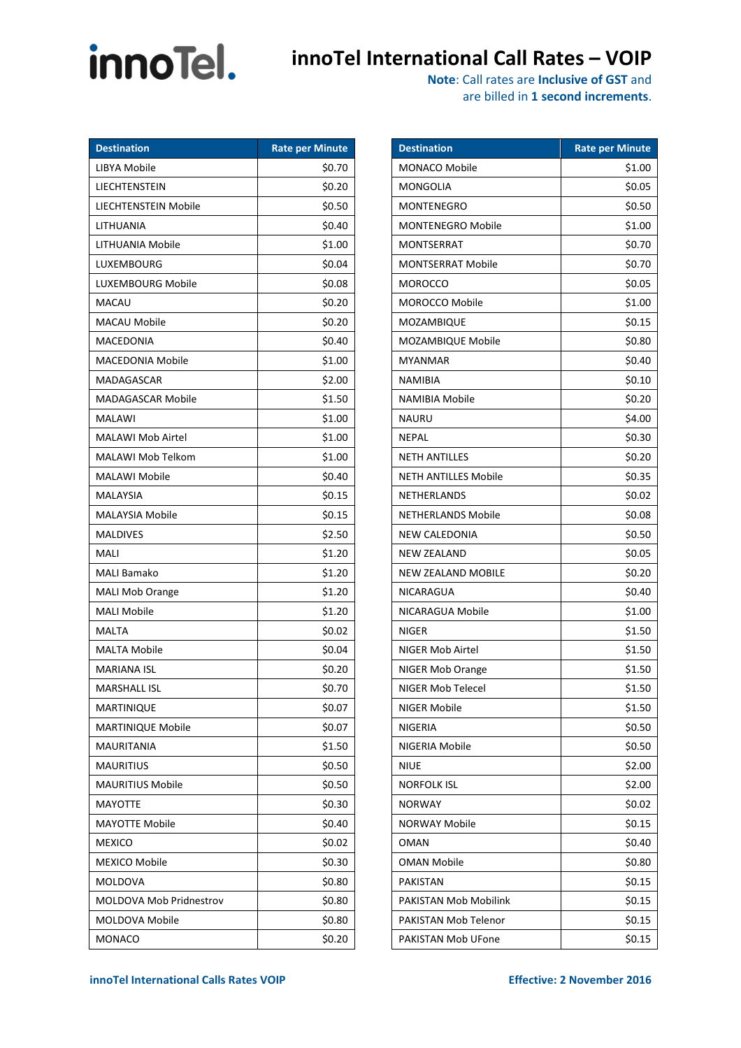# innoTel.

### **innoTel International Call Rates – VOIP**

|  |  | are billed in 1 second increments. |
|--|--|------------------------------------|
|--|--|------------------------------------|

| <b>Destination</b>             | <b>Rate per Minute</b> |
|--------------------------------|------------------------|
| LIBYA Mobile                   | \$0.70                 |
| LIECHTENSTEIN                  | \$0.20                 |
| LIECHTENSTEIN Mobile           | \$0.50                 |
| LITHUANIA                      | \$0.40                 |
| LITHUANIA Mobile               | \$1.00                 |
| LUXEMBOURG                     | \$0.04                 |
| LUXEMBOURG Mobile              | \$0.08                 |
| MACAU                          | \$0.20                 |
| <b>MACAU Mobile</b>            | \$0.20                 |
| MACEDONIA                      | \$0.40                 |
| <b>MACEDONIA Mobile</b>        | \$1.00                 |
| MADAGASCAR                     | \$2.00                 |
| <b>MADAGASCAR Mobile</b>       | \$1.50                 |
| <b>MALAWI</b>                  | \$1.00                 |
| <b>MALAWI Mob Airtel</b>       | \$1.00                 |
| MALAWI Mob Telkom              | \$1.00                 |
| MALAWI Mobile                  | \$0.40                 |
| MALAYSIA                       | \$0.15                 |
| <b>MALAYSIA Mobile</b>         | \$0.15                 |
| <b>MALDIVES</b>                | \$2.50                 |
| MALI                           | \$1.20                 |
| MALI Bamako                    | \$1.20                 |
| <b>MALI Mob Orange</b>         | \$1.20                 |
| <b>MALI Mobile</b>             | \$1.20                 |
| <b>MALTA</b>                   | \$0.02                 |
| <b>MALTA Mobile</b>            | \$0.04                 |
| <b>MARIANA ISL</b>             | \$0.20                 |
| <b>MARSHALL ISL</b>            | \$0.70                 |
| MARTINIQUE                     | \$0.07                 |
| MARTINIQUE Mobile              | \$0.07                 |
| MAURITANIA                     | \$1.50                 |
| <b>MAURITIUS</b>               | \$0.50                 |
| <b>MAURITIUS Mobile</b>        | \$0.50                 |
| MAYOTTE                        | \$0.30                 |
| <b>MAYOTTE Mobile</b>          | \$0.40                 |
| MEXICO                         | \$0.02                 |
| MEXICO Mobile                  | \$0.30                 |
| MOLDOVA                        | \$0.80                 |
| <b>MOLDOVA Mob Pridnestrov</b> | \$0.80                 |
| MOLDOVA Mobile                 | \$0.80                 |
| MONACO                         | \$0.20                 |

| <b>Destination</b>          | <b>Rate per Minute</b> |
|-----------------------------|------------------------|
| MONACO Mobile               | \$1.00                 |
| MONGOLIA                    | \$0.05                 |
| MONTENEGRO                  | \$0.50                 |
| <b>MONTENEGRO Mobile</b>    | \$1.00                 |
| MONTSERRAT                  | \$0.70                 |
| MONTSERRAT Mobile           | \$0.70                 |
| MOROCCO                     | \$0.05                 |
| <b>MOROCCO Mobile</b>       | \$1.00                 |
| MOZAMBIQUE                  | \$0.15                 |
| MOZAMBIQUE Mobile           | \$0.80                 |
| MYANMAR                     | \$0.40                 |
| NAMIBIA                     | \$0.10                 |
| NAMIBIA Mobile              | \$0.20                 |
| NAURU                       | \$4.00                 |
| <b>NEPAL</b>                | \$0.30                 |
| <b>NETH ANTILLES</b>        | \$0.20                 |
| <b>NETH ANTILLES Mobile</b> | \$0.35                 |
| NETHERLANDS                 | \$0.02                 |
| <b>NETHERLANDS Mobile</b>   | \$0.08                 |
| NEW CALEDONIA               | \$0.50                 |
| NEW ZEALAND                 | \$0.05                 |
| <b>NEW ZEALAND MOBILE</b>   | \$0.20                 |
| NICARAGUA                   | \$0.40                 |
| NICARAGUA Mobile            | \$1.00                 |
| <b>NIGER</b>                | \$1.50                 |
| NIGER Mob Airtel            | \$1.50                 |
| NIGER Mob Orange            | \$1.50                 |
| <b>NIGER Mob Telecel</b>    | \$1.50                 |
| NIGER Mobile                | \$1.50                 |
| NIGERIA                     | \$0.50                 |
| NIGERIA Mobile              | \$0.50                 |
| NIUE                        | \$2.00                 |
| NORFOLK ISL                 | \$2.00                 |
| <b>NORWAY</b>               | \$0.02                 |
| NORWAY Mobile               | \$0.15                 |
| OMAN                        | \$0.40                 |
| OMAN Mobile                 | \$0.80                 |
| PAKISTAN                    | \$0.15                 |
| PAKISTAN Mob Mobilink       | \$0.15                 |
| PAKISTAN Mob Telenor        | \$0.15                 |
| PAKISTAN Mob UFone          | \$0.15                 |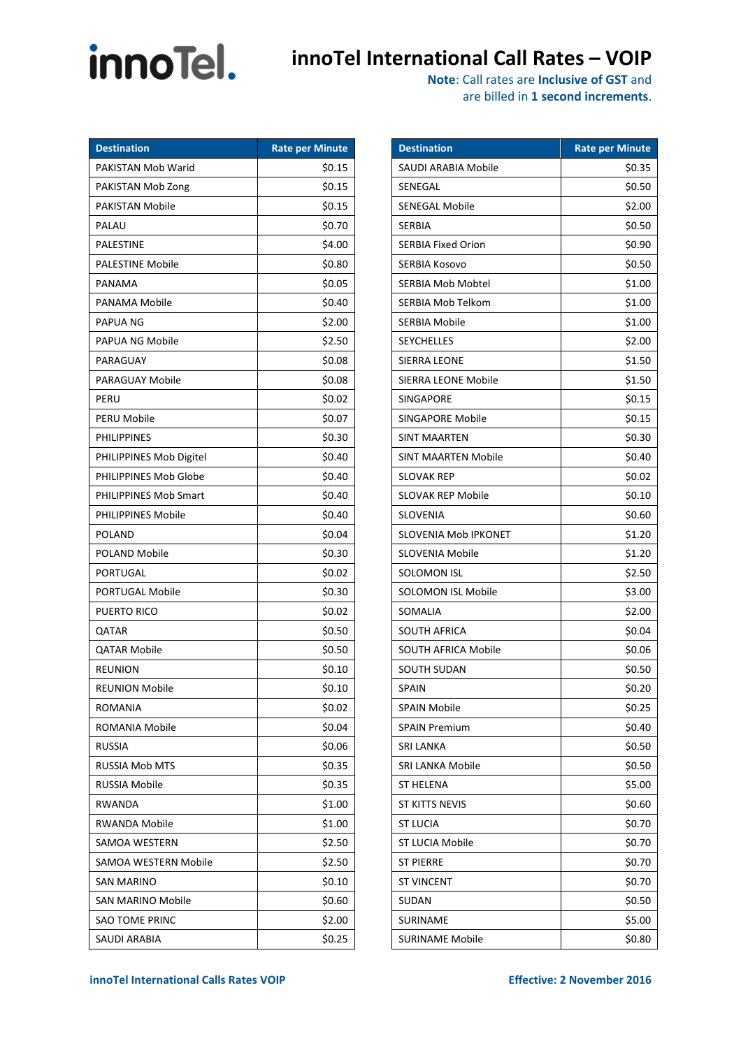# innoTel.

### **innoTel International Call Rates – VOIP**

**Note**: Call rates are **Inclusive of GST** and are billed in **1 second increments**.

| <b>Destination</b>           | <b>Rate per Minute</b> |
|------------------------------|------------------------|
| PAKISTAN Mob Warid           | \$0.15                 |
| PAKISTAN Mob Zong            | \$0.15                 |
| PAKISTAN Mobile              | \$0.15                 |
| PALAU                        | \$0.70                 |
| <b>PALESTINE</b>             | \$4.00                 |
| <b>PALESTINE Mobile</b>      | \$0.80                 |
| PANAMA                       | \$0.05                 |
| PANAMA Mobile                | \$0.40                 |
| PAPUA NG                     | \$2.00                 |
| PAPUA NG Mobile              | \$2.50                 |
| PARAGUAY                     | \$0.08                 |
| PARAGUAY Mobile              | \$0.08                 |
| PERU                         | \$0.02                 |
| PERU Mobile                  | \$0.07                 |
| <b>PHILIPPINES</b>           | \$0.30                 |
| PHILIPPINES Mob Digitel      | \$0.40                 |
| PHILIPPINES Mob Globe        | \$0.40                 |
| <b>PHILIPPINES Mob Smart</b> | \$0.40                 |
| <b>PHILIPPINES Mobile</b>    | \$0.40                 |
| <b>POLAND</b>                | \$0.04                 |
| <b>POLAND Mobile</b>         | \$0.30                 |
| PORTUGAL                     | \$0.02                 |
| PORTUGAL Mobile              | \$0.30                 |
| PUERTO RICO                  | \$0.02                 |
| QATAR                        | \$0.50                 |
| QATAR Mobile                 | \$0.50                 |
| <b>REUNION</b>               | \$0.10                 |
| REUNION Mobile               | \$0.10                 |
| <b>ROMANIA</b>               | \$0.02                 |
| ROMANIA Mobile               | \$0.04                 |
| <b>RUSSIA</b>                | \$0.06                 |
| <b>RUSSIA Mob MTS</b>        | \$0.35                 |
| RUSSIA Mobile                | \$0.35                 |
| RWANDA                       | \$1.00                 |
| <b>RWANDA Mobile</b>         | \$1.00                 |
| SAMOA WESTERN                | \$2.50                 |
| SAMOA WESTERN Mobile         | \$2.50                 |
| SAN MARINO                   | \$0.10                 |
| SAN MARINO Mobile            | \$0.60                 |
| <b>SAO TOME PRINC</b>        | \$2.00                 |
| SAUDI ARABIA                 | \$0.25                 |

| <b>Destination</b>         | <b>Rate per Minute</b> |
|----------------------------|------------------------|
| SAUDI ARABIA Mobile        | \$0.35                 |
| SENEGAL                    | \$0.50                 |
| SENEGAL Mobile             | \$2.00                 |
| SERBIA                     | \$0.50                 |
| SERBIA Fixed Orion         | \$0.90                 |
| SERBIA Kosovo              | \$0.50                 |
| SERBIA Mob Mobtel          | \$1.00                 |
| <b>SERBIA Mob Telkom</b>   | \$1.00                 |
| SERBIA Mobile              | \$1.00                 |
| <b>SEYCHELLES</b>          | \$2.00                 |
| SIERRA LEONE               | \$1.50                 |
| SIERRA LEONE Mobile        | \$1.50                 |
| SINGAPORE                  | \$0.15                 |
| SINGAPORE Mobile           | \$0.15                 |
| SINT MAARTEN               | \$0.30                 |
| <b>SINT MAARTEN Mobile</b> | \$0.40                 |
| SLOVAK REP                 | \$0.02                 |
| SLOVAK REP Mobile          | \$0.10                 |
| SLOVENIA                   | \$0.60                 |
| SLOVENIA Mob IPKONET       | \$1.20                 |
| SLOVENIA Mobile            | \$1.20                 |
| <b>SOLOMON ISL</b>         | \$2.50                 |
| SOLOMON ISL Mobile         | \$3.00                 |
| SOMALIA                    | \$2.00                 |
| SOUTH AFRICA               | \$0.04                 |
| SOUTH AFRICA Mobile        | \$0.06                 |
| <b>SOUTH SUDAN</b>         | \$0.50                 |
| <b>SPAIN</b>               | \$0.20                 |
| SPAIN Mobile               | \$0.25                 |
| <b>SPAIN Premium</b>       | \$0.40                 |
| <b>SRI LANKA</b>           | \$0.50                 |
| <b>SRI LANKA Mobile</b>    | \$0.50                 |
| ST HELENA                  | \$5.00                 |
| ST KITTS NEVIS             | \$0.60                 |
| ST LUCIA                   | \$0.70                 |
| <b>ST LUCIA Mobile</b>     | \$0.70                 |
| ST PIERRE                  | \$0.70                 |
| <b>ST VINCENT</b>          | \$0.70                 |
| SUDAN                      | \$0.50                 |
| SURINAME                   | \$5.00                 |
| SURINAME Mobile            | \$0.80                 |